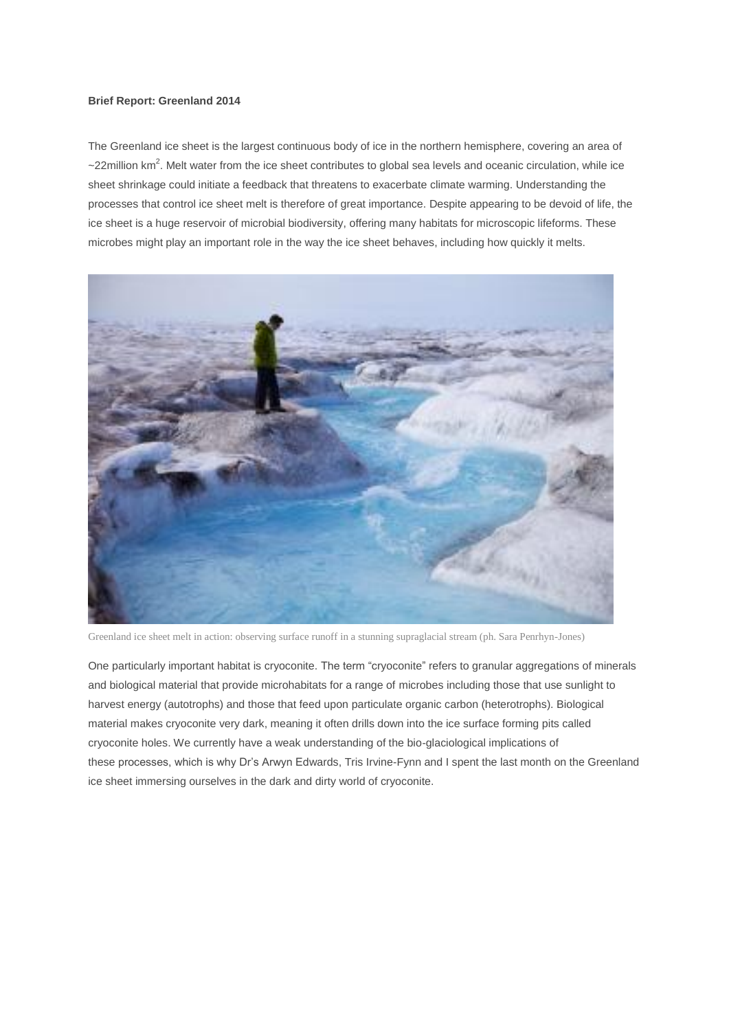## **Brief Report: Greenland 2014**

The Greenland ice sheet is the largest continuous body of ice in the northern hemisphere, covering an area of  $\sim$ 22million km<sup>2</sup>. Melt water from the ice sheet contributes to global sea levels and oceanic circulation, while ice sheet shrinkage could initiate a feedback that threatens to exacerbate climate warming. Understanding the processes that control ice sheet melt is therefore of great importance. Despite appearing to be devoid of life, the ice sheet is a huge reservoir of microbial biodiversity, offering many habitats for microscopic lifeforms. These microbes might play an important role in the way the ice sheet behaves, including how quickly it melts.



Greenland ice sheet melt in action: observing surface runoff in a stunning supraglacial stream (ph. Sara Penrhyn-Jones)

One particularly important habitat is cryoconite. The term "cryoconite" refers to granular aggregations of minerals and biological material that provide microhabitats for a range of microbes including those that use sunlight to harvest energy (autotrophs) and those that feed upon particulate organic carbon (heterotrophs). Biological material makes cryoconite very dark, meaning it often drills down into the ice surface forming pits called cryoconite holes. We currently have a weak understanding of the bio-glaciological implications of these processes, which is why Dr's Arwyn Edwards, Tris Irvine-Fynn and I spent the last month on the Greenland ice sheet immersing ourselves in the dark and dirty world of cryoconite.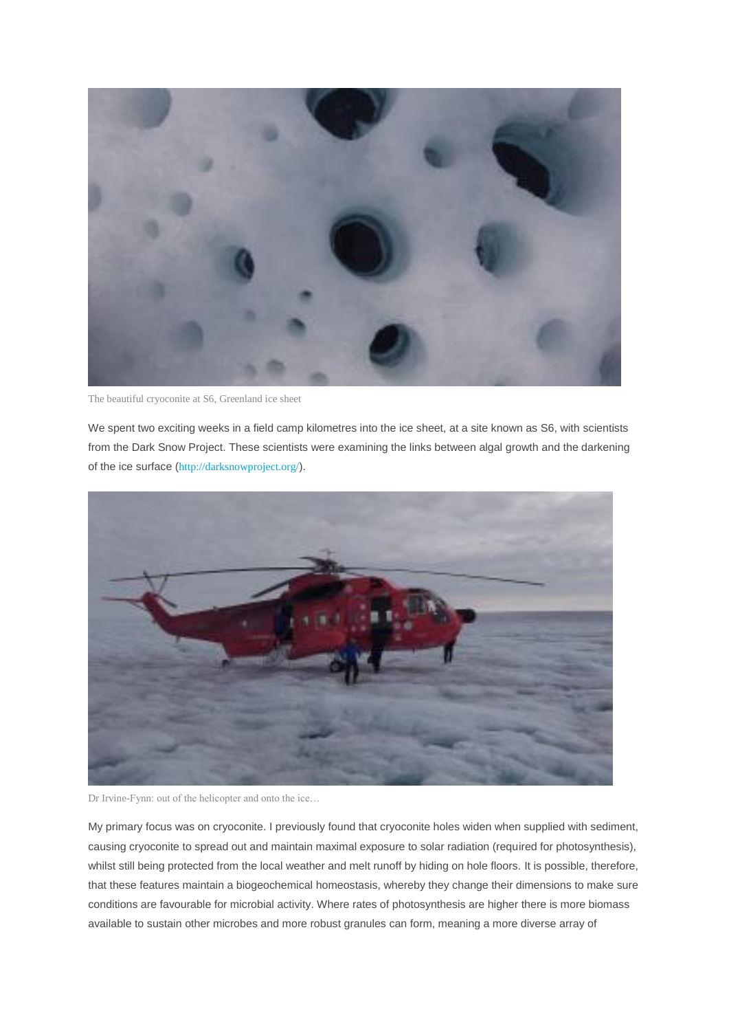

The beautiful cryoconite at S6, Greenland ice sheet

We spent two exciting weeks in a field camp kilometres into the ice sheet, at a site known as S6, with scientists from the Dark Snow Project. These scientists were examining the links between algal growth and the darkening of the ice surface (<http://darksnowproject.org/>).



Dr Irvine-Fynn: out of the helicopter and onto the ice…

My primary focus was on cryoconite. I previously found that cryoconite holes widen when supplied with sediment, causing cryoconite to spread out and maintain maximal exposure to solar radiation (required for photosynthesis), whilst still being protected from the local weather and melt runoff by hiding on hole floors. It is possible, therefore, that these features maintain a biogeochemical homeostasis, whereby they change their dimensions to make sure conditions are favourable for microbial activity. Where rates of photosynthesis are higher there is more biomass available to sustain other microbes and more robust granules can form, meaning a more diverse array of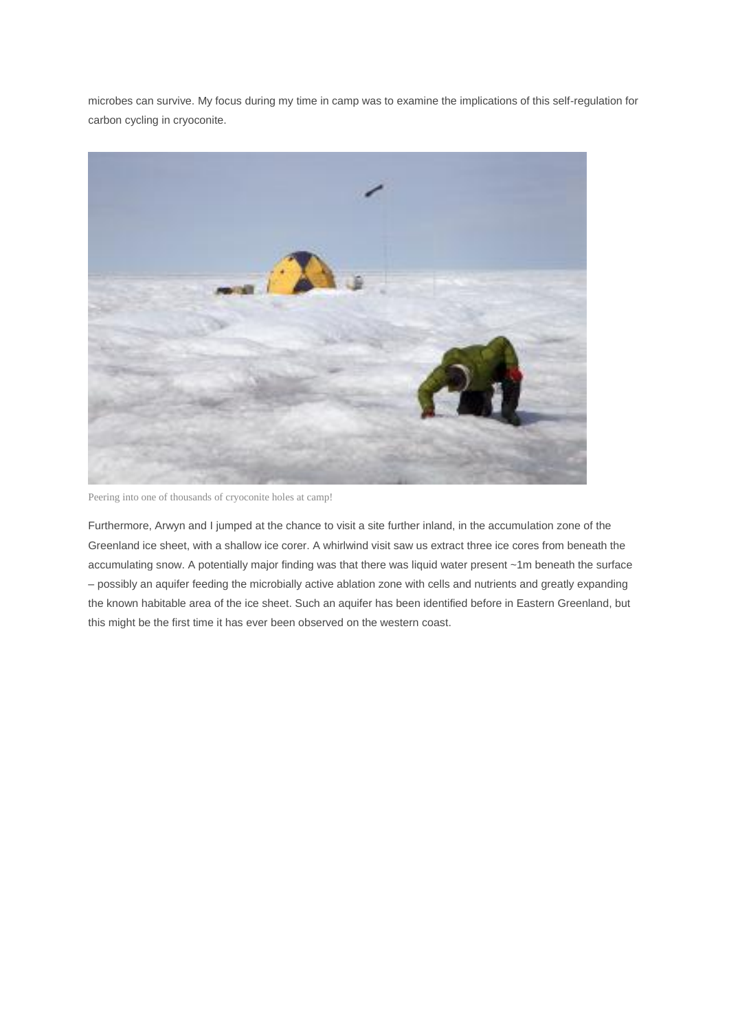microbes can survive. My focus during my time in camp was to examine the implications of this self-regulation for carbon cycling in cryoconite.



Peering into one of thousands of cryoconite holes at camp!

Furthermore, Arwyn and I jumped at the chance to visit a site further inland, in the accumulation zone of the Greenland ice sheet, with a shallow ice corer. A whirlwind visit saw us extract three ice cores from beneath the accumulating snow. A potentially major finding was that there was liquid water present ~1m beneath the surface – possibly an aquifer feeding the microbially active ablation zone with cells and nutrients and greatly expanding the known habitable area of the ice sheet. Such an aquifer has been identified before in Eastern Greenland, but this might be the first time it has ever been observed on the western coast.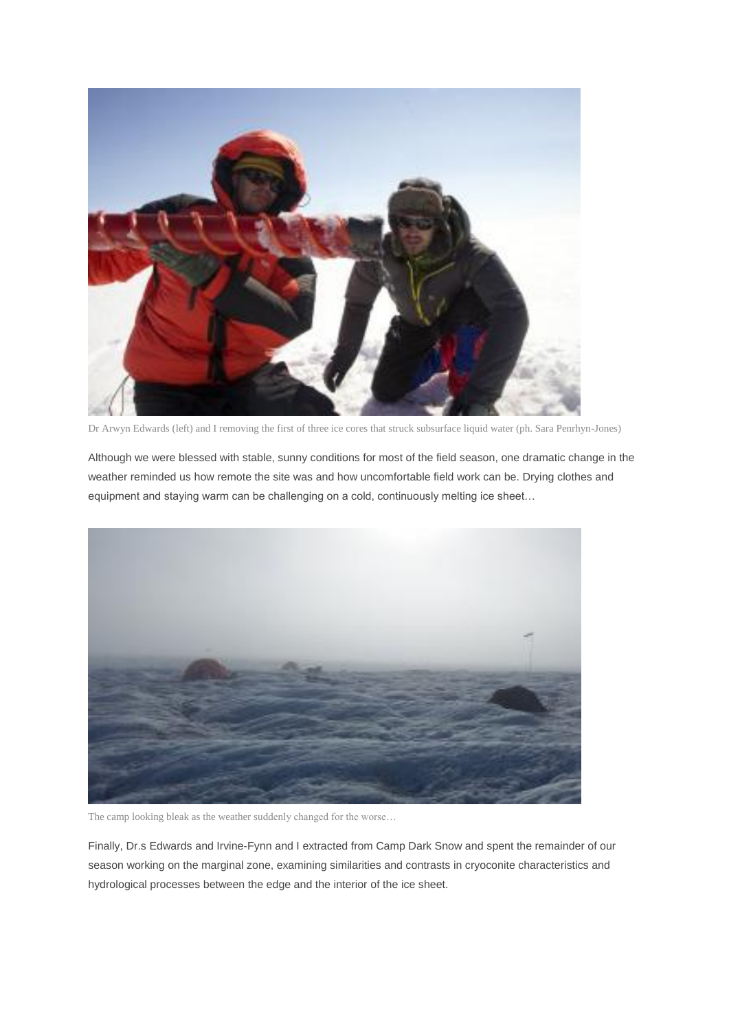

Dr Arwyn Edwards (left) and I removing the first of three ice cores that struck subsurface liquid water (ph. Sara Penrhyn-Jones)

Although we were blessed with stable, sunny conditions for most of the field season, one dramatic change in the weather reminded us how remote the site was and how uncomfortable field work can be. Drying clothes and equipment and staying warm can be challenging on a cold, continuously melting ice sheet…



The camp looking bleak as the weather suddenly changed for the worse…

Finally, Dr.s Edwards and Irvine-Fynn and I extracted from Camp Dark Snow and spent the remainder of our season working on the marginal zone, examining similarities and contrasts in cryoconite characteristics and hydrological processes between the edge and the interior of the ice sheet.